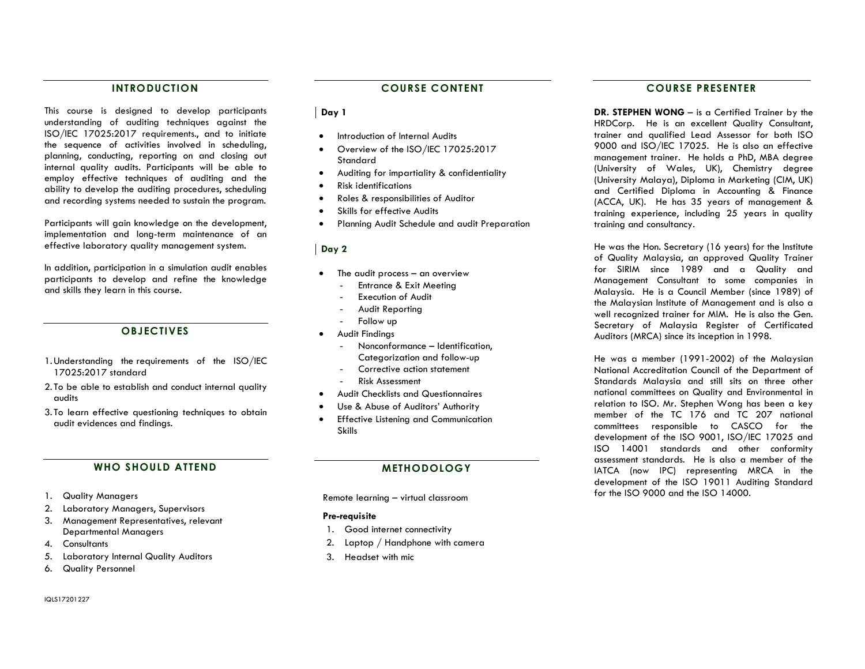#### INTRODUCTION

This course is designed to develop participants understanding of auditing techniques against the ISO/IEC 17025:2017 requirements., and to initiate the sequence of activities involved in scheduling, planning, conducting, reporting on and closing out internal quality audits. Participants will be able to employ effective techniques of auditing and the ability to develop the auditing procedures, scheduling and recording systems needed to sustain the program.

Participants will gain knowledge on the development, implementation and long-term maintenance of an effective laboratory quality management system.

In addition, participation in a simulation audit enables participants to develop and refine the knowledge and skills they learn in this course.

#### **OBJECTIVES**

- 1.Understanding the requirements of the ISO/IEC 17025:2017 standard
- 2. To be able to establish and conduct internal quality audits
- 3. To learn effective questioning techniques to obtain audit evidences and findings.

#### WHO SHOULD ATTEND

- 1. Quality Managers
- 2. Laboratory Managers, Supervisors
- 3. Management Representatives, relevant Departmental Managers
- 4. Consultants
- 5. Laboratory Internal Quality Auditors
- 6. Quality Personnel

## $\log 1$

- Introduction of Internal Audits
- Overview of the ISO/IEC 17025:2017 Standard
- Auditing for impartiality & confidentiality
- Risk identifications
- Roles & responsibilities of Auditor
- Skills for effective Audits
- Planning Audit Schedule and audit Preparation

#### Day 2

- The audit process an overview
	- Entrance & Exit Meeting
	- Execution of Audit
	- Audit Reporting
	- Follow up
- Audit Findings
	- Nonconformance Identification, Categorization and follow-up
	- Corrective action statement
	- Risk Assessment
- Audit Checklists and Questionnaires
- Use & Abuse of Auditors' Authority
- Effective Listening and Communication Skills

#### METHODOLOGY

Remote learning – virtual classroom

#### Pre-requisite

- 1. Good internet connectivity
- 2. Laptop / Handphone with camera
- 3. Headset with mic

### COURSE PRESENTER

DR. STEPHEN WONG - is a Certified Trainer by the HRDCorp. He is an excellent Quality Consultant, trainer and qualified Lead Assessor for both ISO 9000 and ISO/IEC 17025. He is also an effective management trainer. He holds a PhD, MBA degree (University of Wales, UK), Chemistry degree (University Malaya), Diploma in Marketing (CIM, UK) and Certified Diploma in Accounting & Finance (ACCA, UK). He has 35 years of management & training experience, including 25 years in quality training and consultancy.

He was the Hon. Secretary (16 years) for the Institute of Quality Malaysia, an approved Quality Trainer for SIRIM since 1989 and a Quality and Management Consultant to some companies in Malaysia. He is a Council Member (since 1989) of the Malaysian Institute of Management and is also a well recognized trainer for MIM. He is also the Gen. Secretary of Malaysia Register of Certificated Auditors (MRCA) since its inception in 1998.

He was a member (1991-2002) of the Malaysian National Accreditation Council of the Department of Standards Malaysia and still sits on three other national committees on Quality and Environmental in relation to ISO. Mr. Stephen Wong has been a key member of the TC 176 and TC 207 national committees responsible to CASCO for the development of the ISO 9001, ISO/IEC 17025 and ISO 14001 standards and other conformity assessment standards. He is also a member of the IATCA (now IPC) representing MRCA in the development of the ISO 19011 Auditing Standard for the ISO 9000 and the ISO 14000.